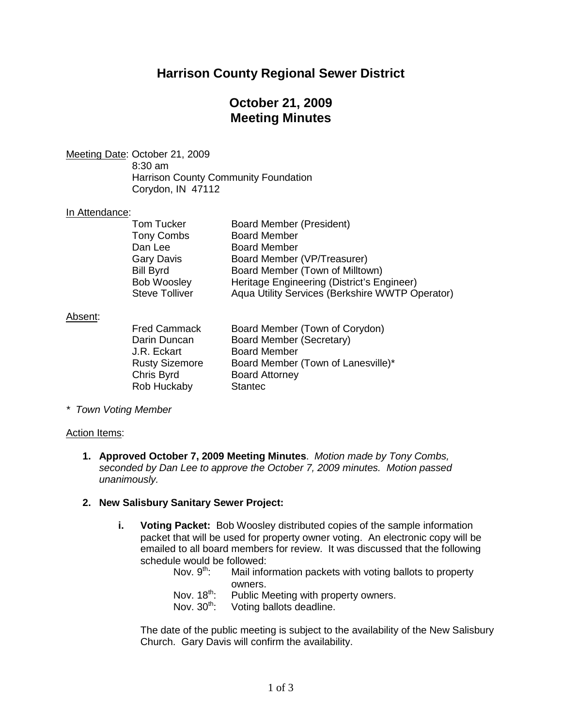## **Harrison County Regional Sewer District**

## **October 21, 2009 Meeting Minutes**

Meeting Date : October 21, 2009

8:30 am Harrison County Community Foundation Corydon, IN 47112

## In Attendance:

| <b>Board Member (President)</b>                 |
|-------------------------------------------------|
| <b>Board Member</b>                             |
| <b>Board Member</b>                             |
| Board Member (VP/Treasurer)                     |
| Board Member (Town of Milltown)                 |
| Heritage Engineering (District's Engineer)      |
| Aqua Utility Services (Berkshire WWTP Operator) |
|                                                 |

### Absent :

| <b>Fred Cammack</b>   | Board Member (Town of Corydon)     |
|-----------------------|------------------------------------|
| Darin Duncan          | <b>Board Member (Secretary)</b>    |
| J.R. Eckart           | <b>Board Member</b>                |
| <b>Rusty Sizemore</b> | Board Member (Town of Lanesville)* |
| Chris Byrd            | <b>Board Attorney</b>              |
| Rob Huckaby           | <b>Stantec</b>                     |
|                       |                                    |

*\* Town Voting Member*

#### Action Items:

**1. Approved October 7, 2009 Meeting Minutes**. *Motion made by Tony Combs, seconded by Dan Lee to approve the October 7, 2009 minutes. Motion passed unanimously.*

#### **2. New Salisbury Sanitary Sewer Project:**

- **i. Voting Packet:** Bob Woosley distributed copies of the sample information packet that will be used for property owner voting. An electronic copy will be emailed to all board members for review. It was discussed that the following schedule would be followed:
	- Nov.  $9^{th}$ : : Mail information packets with voting ballots to property owners.
	- Nov.  $18<sup>th</sup>$ : Public Meeting with property owners.
	- Nov. 30<sup>th</sup>: Voting ballots deadline.

The date of the public meeting is subject to the availability of the New Salisbury Church. Gary Davis will confirm the availability.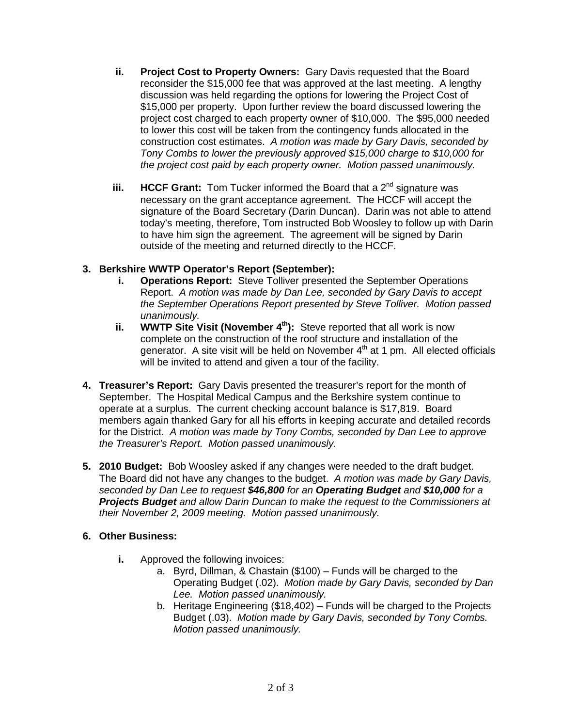- **ii. Project Cost to Property Owners:** Gary Davis requested that the Board reconsider the \$15,000 fee that was approved at the last meeting. A lengthy discussion was held regarding the options for lowering the Project Cost of \$15,000 per property. Upon further review the board discussed lowering the project cost charged to each property owner of \$10,000. The \$95,000 needed to lower this cost will be taken from the contingency funds allocated in the construction cost estimates. *A motion was made by Gary Davis, seconded by Tony Combs to lower the previously approved \$15,000 charge to \$10,000 for the project cost paid by each property owner. Motion passed unanimously.*
- **iii. HCCF Grant:** Tom Tucker informed the Board that a 2<sup>nd</sup> signature was necessary on the grant acceptance agreement. The HCCF will accept the signature of the Board Secretary (Darin Duncan). Darin was not able to attend today's meeting, therefore, Tom instructed Bob Woosley to follow up with Darin to have him sign the agreement. The agreement will be signed by Darin outside of the meeting and returned directly to the HCCF.

## **3. Berkshire WWTP Operator's Report (September):**

- **i. Operations Report:** Steve Tolliver presented the September Operations Report. *A motion was made by Dan Lee, seconded by Gary Davis to accept the September Operations Report presented by Steve Tolliver. Motion passed unanimously.*
- **ii. WWTP Site Visit (November 4<sup>th</sup>):** Steve reported that all work is now complete on the construction of the roof structure and installation of the generator. A site visit will be held on November  $4<sup>th</sup>$  at 1 pm. All elected officials will be invited to attend and given a tour of the facility.
- **4. Treasurer's Report:** Gary Davis presented the treasurer's report for the month of September. The Hospital Medical Campus and the Berkshire system continue to operate at a surplus. The current checking account balance is \$17,819. Board members again thanked Gary for all his efforts in keeping accurate and detailed records for the District. *A motion was made by Tony Combs, seconded by Dan Lee to approve the Treasurer's Report. Motion passed unanimously.*
- **5. 2010 Budget:** Bob Woosley asked if any changes were needed to the draft budget. The Board did not have any changes to the budget. *A motion was made by Gary Davis, seconded by Dan Lee to request \$46,800 for an Operating Budget and \$10,000 for a Projects Budget and allow Darin Duncan to make the request to the Commissioners at their November 2, 2009 meeting. Motion passed unanimously.*

#### **6. Other Business:**

- **i.** Approved the following invoices:
	- a. Byrd, Dillman, & Chastain (\$100) Funds will be charged to the Operating Budget (.02). *Motion made by Gary Davis, seconded by Dan Lee. Motion passed unanimously.*
	- b. Heritage Engineering (\$18,402) Funds will be charged to the Projects Budget (.03). *Motion made by Gary Davis, seconded by Tony Combs. Motion passed unanimously.*